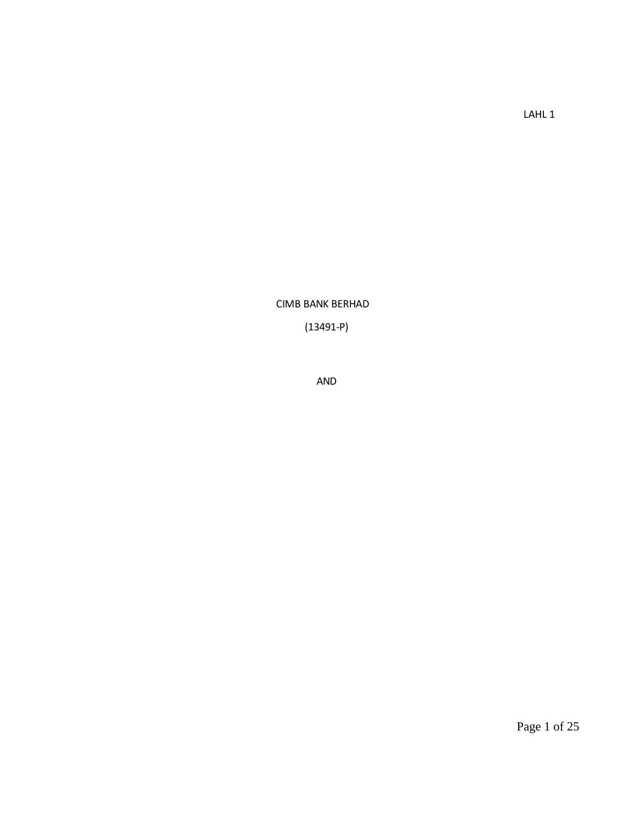LAHL 1

CIMB BANK BERHAD

(13491-P)

AND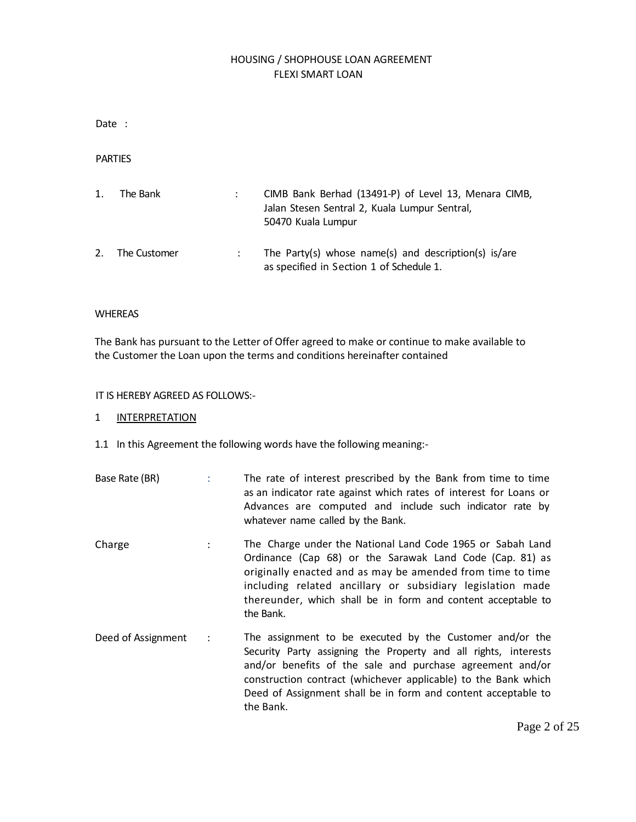# HOUSING / SHOPHOUSE LOAN AGREEMENT FLEXI SMART LOAN

Date :

PARTIES

| 1. | The Bank     | CIMB Bank Berhad (13491-P) of Level 13, Menara CIMB,<br>Jalan Stesen Sentral 2, Kuala Lumpur Sentral,<br>50470 Kuala Lumpur |
|----|--------------|-----------------------------------------------------------------------------------------------------------------------------|
| 2. | The Customer | The Party(s) whose name(s) and description(s) is/are<br>as specified in Section 1 of Schedule 1.                            |

# WHEREAS

The Bank has pursuant to the Letter of Offer agreed to make or continue to make available to the Customer the Loan upon the terms and conditions hereinafter contained

# IT IS HEREBY AGREED AS FOLLOWS:-

### 1 INTERPRETATION

1.1 In this Agreement the following words have the following meaning:-

| Base Rate (BR) | The rate of interest prescribed by the Bank from time to time     |
|----------------|-------------------------------------------------------------------|
|                | as an indicator rate against which rates of interest for Loans or |
|                | Advances are computed and include such indicator rate by          |
|                | whatever name called by the Bank.                                 |

- Charge : The Charge under the National Land Code 1965 or Sabah Land Ordinance (Cap 68) or the Sarawak Land Code (Cap. 81) as originally enacted and as may be amended from time to time including related ancillary or subsidiary legislation made thereunder, which shall be in form and content acceptable to the Bank.
- Deed of Assignment : The assignment to be executed by the Customer and/or the Security Party assigning the Property and all rights, interests and/or benefits of the sale and purchase agreement and/or construction contract (whichever applicable) to the Bank which Deed of Assignment shall be in form and content acceptable to the Bank.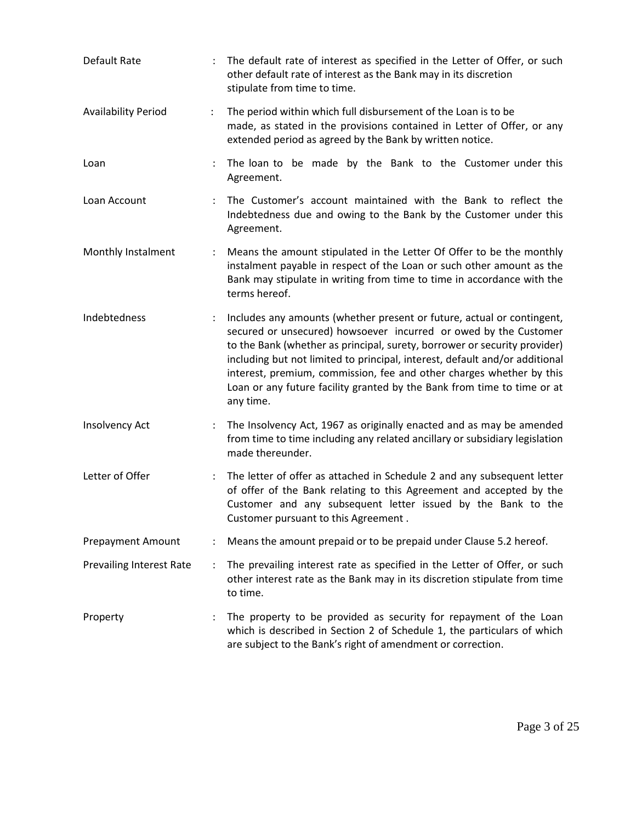| Default Rate                    |                      | The default rate of interest as specified in the Letter of Offer, or such<br>other default rate of interest as the Bank may in its discretion<br>stipulate from time to time.                                                                                                                                                                                                                                                                                          |
|---------------------------------|----------------------|------------------------------------------------------------------------------------------------------------------------------------------------------------------------------------------------------------------------------------------------------------------------------------------------------------------------------------------------------------------------------------------------------------------------------------------------------------------------|
| <b>Availability Period</b>      | $\ddot{\phantom{a}}$ | The period within which full disbursement of the Loan is to be<br>made, as stated in the provisions contained in Letter of Offer, or any<br>extended period as agreed by the Bank by written notice.                                                                                                                                                                                                                                                                   |
| Loan                            |                      | The loan to be made by the Bank to the Customer under this<br>Agreement.                                                                                                                                                                                                                                                                                                                                                                                               |
| Loan Account                    | $\ddot{\phantom{a}}$ | The Customer's account maintained with the Bank to reflect the<br>Indebtedness due and owing to the Bank by the Customer under this<br>Agreement.                                                                                                                                                                                                                                                                                                                      |
| Monthly Instalment              | $\ddot{\cdot}$       | Means the amount stipulated in the Letter Of Offer to be the monthly<br>instalment payable in respect of the Loan or such other amount as the<br>Bank may stipulate in writing from time to time in accordance with the<br>terms hereof.                                                                                                                                                                                                                               |
| Indebtedness                    |                      | Includes any amounts (whether present or future, actual or contingent,<br>secured or unsecured) howsoever incurred or owed by the Customer<br>to the Bank (whether as principal, surety, borrower or security provider)<br>including but not limited to principal, interest, default and/or additional<br>interest, premium, commission, fee and other charges whether by this<br>Loan or any future facility granted by the Bank from time to time or at<br>any time. |
| Insolvency Act                  |                      | The Insolvency Act, 1967 as originally enacted and as may be amended<br>from time to time including any related ancillary or subsidiary legislation<br>made thereunder.                                                                                                                                                                                                                                                                                                |
| Letter of Offer                 | $\ddot{\phantom{a}}$ | The letter of offer as attached in Schedule 2 and any subsequent letter<br>of offer of the Bank relating to this Agreement and accepted by the<br>Customer and any subsequent letter issued by the Bank to the<br>Customer pursuant to this Agreement.                                                                                                                                                                                                                 |
| <b>Prepayment Amount</b>        |                      | Means the amount prepaid or to be prepaid under Clause 5.2 hereof.                                                                                                                                                                                                                                                                                                                                                                                                     |
| <b>Prevailing Interest Rate</b> | $\ddot{\cdot}$       | The prevailing interest rate as specified in the Letter of Offer, or such<br>other interest rate as the Bank may in its discretion stipulate from time<br>to time.                                                                                                                                                                                                                                                                                                     |
| Property                        |                      | The property to be provided as security for repayment of the Loan<br>which is described in Section 2 of Schedule 1, the particulars of which<br>are subject to the Bank's right of amendment or correction.                                                                                                                                                                                                                                                            |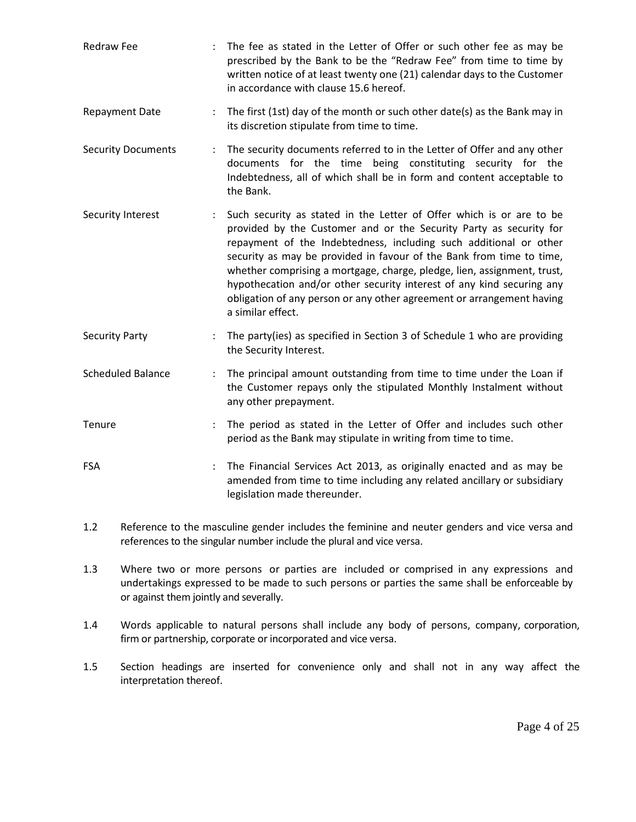- Redraw Fee : The fee as stated in the Letter of Offer or such other fee as may be prescribed by the Bank to be the "Redraw Fee" from time to time by written notice of at least twenty one (21) calendar days to the Customer in accordance with clause 15.6 hereof.
- Repayment Date : The first (1st) day of the month or such other date(s) as the Bank may in its discretion stipulate from time to time.
- Security Documents : The security documents referred to in the Letter of Offer and any other documents for the time being constituting security for the Indebtedness, all of which shall be in form and content acceptable to the Bank.
- Security Interest : Such security as stated in the Letter of Offer which is or are to be provided by the Customer and or the Security Party as security for repayment of the Indebtedness, including such additional or other security as may be provided in favour of the Bank from time to time, whether comprising a mortgage, charge, pledge, lien, assignment, trust, hypothecation and/or other security interest of any kind securing any obligation of any person or any other agreement or arrangement having a similar effect.
- Security Party **Exercise :** The party(ies) as specified in Section 3 of Schedule 1 who are providing the Security Interest.
- Scheduled Balance : The principal amount outstanding from time to time under the Loan if the Customer repays only the stipulated Monthly Instalment without any other prepayment.
- Tenure : The period as stated in the Letter of Offer and includes such other period as the Bank may stipulate in writing from time to time.
- FSA : The Financial Services Act 2013, as originally enacted and as may be amended from time to time including any related ancillary or subsidiary legislation made thereunder.
- 1.2 Reference to the masculine gender includes the feminine and neuter genders and vice versa and references to the singular number include the plural and vice versa.
- 1.3 Where two or more persons or parties are included or comprised in any expressions and undertakings expressed to be made to such persons or parties the same shall be enforceable by or against them jointly and severally.
- 1.4 Words applicable to natural persons shall include any body of persons, company, corporation, firm or partnership, corporate or incorporated and vice versa.
- 1.5 Section headings are inserted for convenience only and shall not in any way affect the interpretation thereof.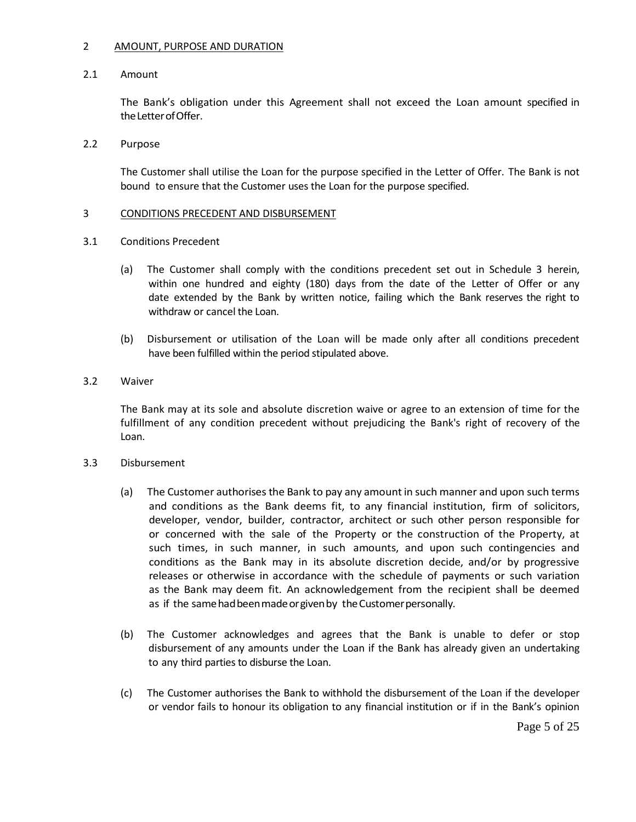### 2 AMOUNT, PURPOSE AND DURATION

# 2.1 Amount

The Bank's obligation under this Agreement shall not exceed the Loan amount specified in the Letter of Offer.

# 2.2 Purpose

The Customer shall utilise the Loan for the purpose specified in the Letter of Offer. The Bank is not bound to ensure that the Customer uses the Loan for the purpose specified.

# 3 CONDITIONS PRECEDENT AND DISBURSEMENT

- 3.1 Conditions Precedent
	- (a) The Customer shall comply with the conditions precedent set out in Schedule 3 herein, within one hundred and eighty (180) days from the date of the Letter of Offer or any date extended by the Bank by written notice, failing which the Bank reserves the right to withdraw or cancel the Loan.
	- (b) Disbursement or utilisation of the Loan will be made only after all conditions precedent have been fulfilled within the period stipulated above.

# 3.2 Waiver

The Bank may at its sole and absolute discretion waive or agree to an extension of time for the fulfillment of any condition precedent without prejudicing the Bank's right of recovery of the Loan.

### 3.3 Disbursement

- (a) The Customer authorises the Bank to pay any amount in such manner and upon such terms and conditions as the Bank deems fit, to any financial institution, firm of solicitors, developer, vendor, builder, contractor, architect or such other person responsible for or concerned with the sale of the Property or the construction of the Property, at such times, in such manner, in such amounts, and upon such contingencies and conditions as the Bank may in its absolute discretion decide, and/or by progressive releases or otherwise in accordance with the schedule of payments or such variation as the Bank may deem fit. An acknowledgement from the recipient shall be deemed as if the same had been made or given by the Customer personally.
- (b) The Customer acknowledges and agrees that the Bank is unable to defer or stop disbursement of any amounts under the Loan if the Bank has already given an undertaking to any third parties to disburse the Loan.
- (c) The Customer authorises the Bank to withhold the disbursement of the Loan if the developer or vendor fails to honour its obligation to any financial institution or if in the Bank's opinion

Page 5 of 25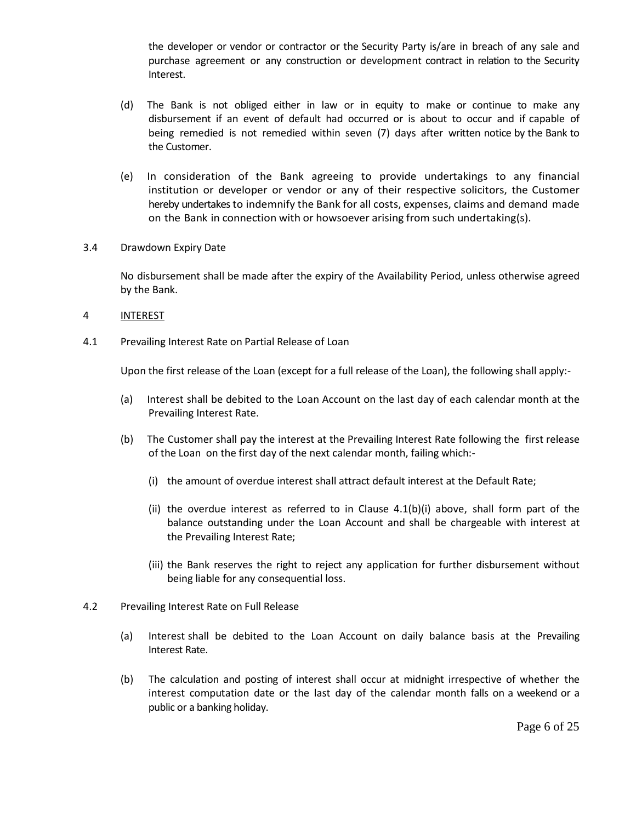the developer or vendor or contractor or the Security Party is/are in breach of any sale and purchase agreement or any construction or development contract in relation to the Security Interest.

- (d) The Bank is not obliged either in law or in equity to make or continue to make any disbursement if an event of default had occurred or is about to occur and if capable of being remedied is not remedied within seven (7) days after written notice by the Bank to the Customer.
- (e) In consideration of the Bank agreeing to provide undertakings to any financial institution or developer or vendor or any of their respective solicitors, the Customer hereby undertakes to indemnify the Bank for all costs, expenses, claims and demand made on the Bank in connection with or howsoever arising from such undertaking(s).
- 3.4 Drawdown Expiry Date

No disbursement shall be made after the expiry of the Availability Period, unless otherwise agreed by the Bank.

- 4 INTEREST
- 4.1 Prevailing Interest Rate on Partial Release of Loan

Upon the first release of the Loan (except for a full release of the Loan), the following shall apply:-

- (a) Interest shall be debited to the Loan Account on the last day of each calendar month at the Prevailing Interest Rate.
- (b) The Customer shall pay the interest at the Prevailing Interest Rate following the first release of the Loan on the first day of the next calendar month, failing which:-
	- (i) the amount of overdue interest shall attract default interest at the Default Rate;
	- (ii) the overdue interest as referred to in Clause  $4.1(b)(i)$  above, shall form part of the balance outstanding under the Loan Account and shall be chargeable with interest at the Prevailing Interest Rate;
	- (iii) the Bank reserves the right to reject any application for further disbursement without being liable for any consequential loss.
- 4.2 Prevailing Interest Rate on Full Release
	- (a) Interest shall be debited to the Loan Account on daily balance basis at the Prevailing Interest Rate.
	- (b) The calculation and posting of interest shall occur at midnight irrespective of whether the interest computation date or the last day of the calendar month falls on a weekend or a public or a banking holiday.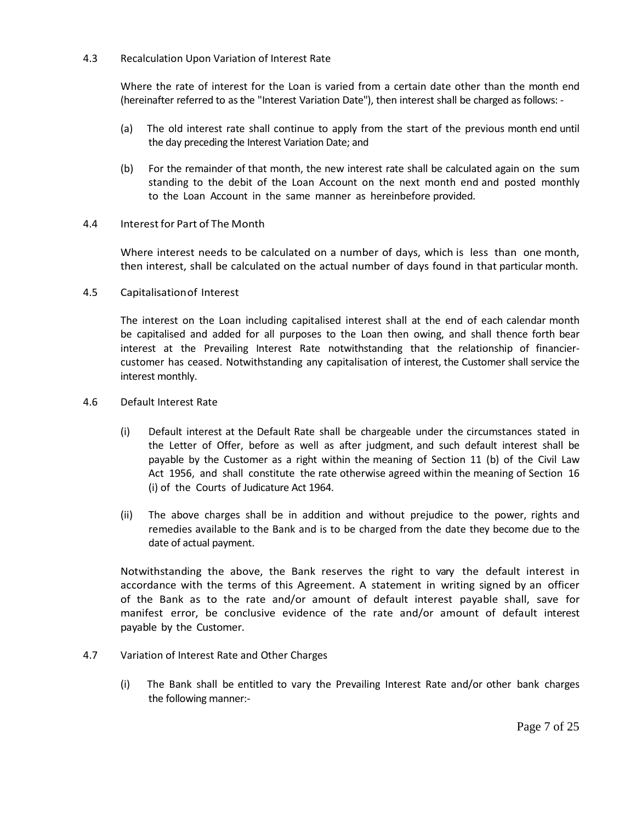# 4.3 Recalculation Upon Variation of Interest Rate

Where the rate of interest for the Loan is varied from a certain date other than the month end (hereinafter referred to as the "Interest Variation Date"), then interest shall be charged as follows: -

- (a) The old interest rate shall continue to apply from the start of the previous month end until the day preceding the Interest Variation Date; and
- (b) For the remainder of that month, the new interest rate shall be calculated again on the sum standing to the debit of the Loan Account on the next month end and posted monthly to the Loan Account in the same manner as hereinbefore provided.

# 4.4 Interestfor Part of The Month

Where interest needs to be calculated on a number of days, which is less than one month, then interest, shall be calculated on the actual number of days found in that particular month.

4.5 Capitalisationof Interest

The interest on the Loan including capitalised interest shall at the end of each calendar month be capitalised and added for all purposes to the Loan then owing, and shall thence forth bear interest at the Prevailing Interest Rate notwithstanding that the relationship of financiercustomer has ceased. Notwithstanding any capitalisation of interest, the Customer shall service the interest monthly.

- 4.6 Default Interest Rate
	- (i) Default interest at the Default Rate shall be chargeable under the circumstances stated in the Letter of Offer, before as well as after judgment, and such default interest shall be payable by the Customer as a right within the meaning of Section 11 (b) of the Civil Law Act 1956, and shall constitute the rate otherwise agreed within the meaning of Section 16 (i) of the Courts of Judicature Act 1964.
	- (ii) The above charges shall be in addition and without prejudice to the power, rights and remedies available to the Bank and is to be charged from the date they become due to the date of actual payment.

Notwithstanding the above, the Bank reserves the right to vary the default interest in accordance with the terms of this Agreement. A statement in writing signed by an officer of the Bank as to the rate and/or amount of default interest payable shall, save for manifest error, be conclusive evidence of the rate and/or amount of default interest payable by the Customer.

- 4.7 Variation of Interest Rate and Other Charges
	- (i) The Bank shall be entitled to vary the Prevailing Interest Rate and/or other bank charges the following manner:-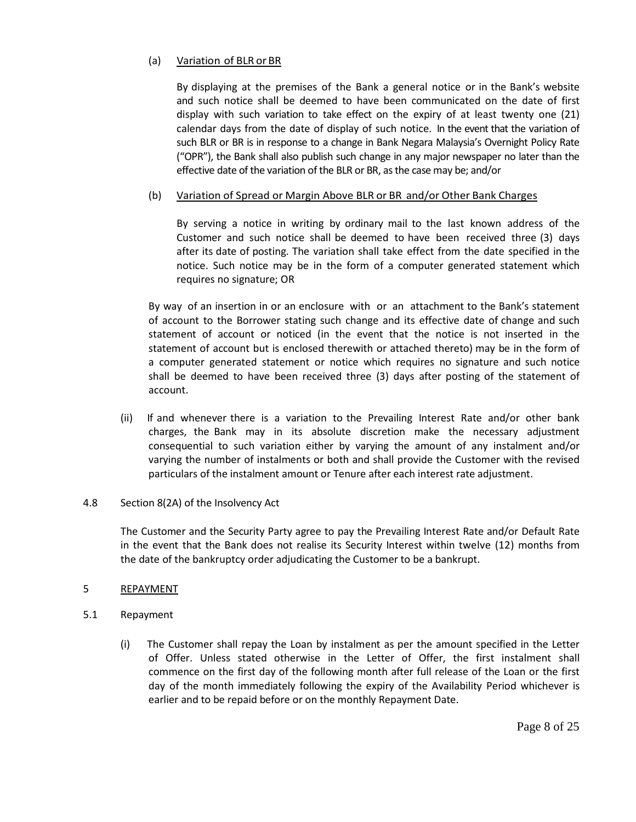# (a) Variation of BLR or BR

By displaying at the premises of the Bank a general notice or in the Bank's website and such notice shall be deemed to have been communicated on the date of first display with such variation to take effect on the expiry of at least twenty one (21) calendar days from the date of display of such notice. In the event that the variation of such BLR or BR is in response to a change in Bank Negara Malaysia's Overnight Policy Rate ("OPR"), the Bank shall also publish such change in any major newspaper no later than the effective date of the variation of the BLR or BR, as the case may be; and/or

# (b) Variation of Spread or Margin Above BLR or BR and/or Other Bank Charges

By serving a notice in writing by ordinary mail to the last known address of the Customer and such notice shall be deemed to have been received three (3) days after its date of posting. The variation shall take effect from the date specified in the notice. Such notice may be in the form of a computer generated statement which requires no signature; OR

By way of an insertion in or an enclosure with or an attachment to the Bank's statement of account to the Borrower stating such change and its effective date of change and such statement of account or noticed (in the event that the notice is not inserted in the statement of account but is enclosed therewith or attached thereto) may be in the form of a computer generated statement or notice which requires no signature and such notice shall be deemed to have been received three (3) days after posting of the statement of account.

(ii) If and whenever there is a variation to the Prevailing Interest Rate and/or other bank charges, the Bank may in its absolute discretion make the necessary adjustment consequential to such variation either by varying the amount of any instalment and/or varying the number of instalments or both and shall provide the Customer with the revised particulars of the instalment amount or Tenure after each interest rate adjustment.

### 4.8 Section 8(2A) of the Insolvency Act

The Customer and the Security Party agree to pay the Prevailing Interest Rate and/or Default Rate in the event that the Bank does not realise its Security Interest within twelve (12) months from the date of the bankruptcy order adjudicating the Customer to be a bankrupt.

### 5 REPAYMENT

- 5.1 Repayment
	- (i) The Customer shall repay the Loan by instalment as per the amount specified in the Letter of Offer. Unless stated otherwise in the Letter of Offer, the first instalment shall commence on the first day of the following month after full release of the Loan or the first day of the month immediately following the expiry of the Availability Period whichever is earlier and to be repaid before or on the monthly Repayment Date.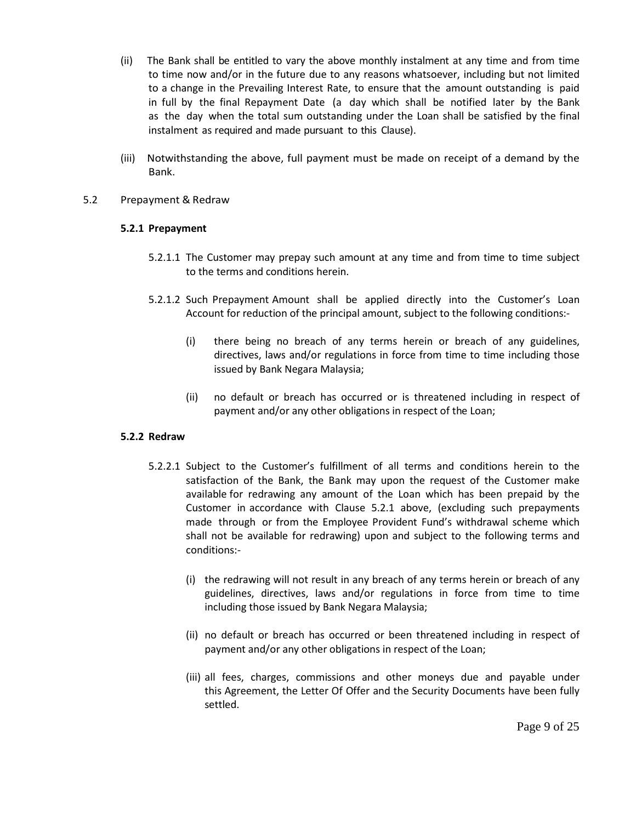- (ii) The Bank shall be entitled to vary the above monthly instalment at any time and from time to time now and/or in the future due to any reasons whatsoever, including but not limited to a change in the Prevailing Interest Rate, to ensure that the amount outstanding is paid in full by the final Repayment Date (a day which shall be notified later by the Bank as the day when the total sum outstanding under the Loan shall be satisfied by the final instalment as required and made pursuant to this Clause).
- (iii) Notwithstanding the above, full payment must be made on receipt of a demand by the Bank.

# 5.2 Prepayment & Redraw

# **5.2.1 Prepayment**

- 5.2.1.1 The Customer may prepay such amount at any time and from time to time subject to the terms and conditions herein.
- 5.2.1.2 Such Prepayment Amount shall be applied directly into the Customer's Loan Account for reduction of the principal amount, subject to the following conditions:-
	- (i) there being no breach of any terms herein or breach of any guidelines, directives, laws and/or regulations in force from time to time including those issued by Bank Negara Malaysia;
	- (ii) no default or breach has occurred or is threatened including in respect of payment and/or any other obligations in respect of the Loan;

### **5.2.2 Redraw**

- 5.2.2.1 Subject to the Customer's fulfillment of all terms and conditions herein to the satisfaction of the Bank, the Bank may upon the request of the Customer make available for redrawing any amount of the Loan which has been prepaid by the Customer in accordance with Clause 5.2.1 above, (excluding such prepayments made through or from the Employee Provident Fund's withdrawal scheme which shall not be available for redrawing) upon and subject to the following terms and conditions:-
	- (i) the redrawing will not result in any breach of any terms herein or breach of any guidelines, directives, laws and/or regulations in force from time to time including those issued by Bank Negara Malaysia;
	- (ii) no default or breach has occurred or been threatened including in respect of payment and/or any other obligations in respect of the Loan;
	- (iii) all fees, charges, commissions and other moneys due and payable under this Agreement, the Letter Of Offer and the Security Documents have been fully settled.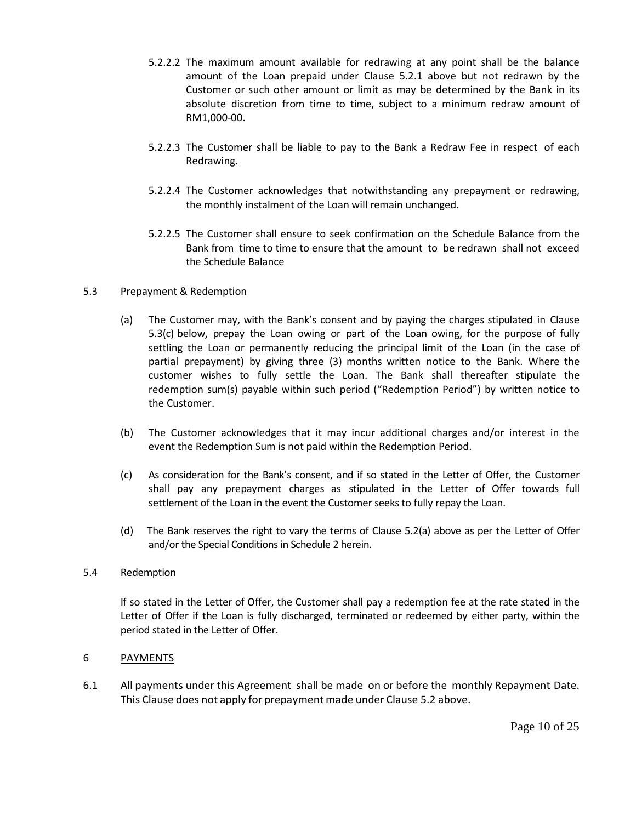- 5.2.2.2 The maximum amount available for redrawing at any point shall be the balance amount of the Loan prepaid under Clause 5.2.1 above but not redrawn by the Customer or such other amount or limit as may be determined by the Bank in its absolute discretion from time to time, subject to a minimum redraw amount of RM1,000-00.
- 5.2.2.3 The Customer shall be liable to pay to the Bank a Redraw Fee in respect of each Redrawing.
- 5.2.2.4 The Customer acknowledges that notwithstanding any prepayment or redrawing, the monthly instalment of the Loan will remain unchanged.
- 5.2.2.5 The Customer shall ensure to seek confirmation on the Schedule Balance from the Bank from time to time to ensure that the amount to be redrawn shall not exceed the Schedule Balance
- 5.3 Prepayment & Redemption
	- (a) The Customer may, with the Bank's consent and by paying the charges stipulated in Clause 5.3(c) below, prepay the Loan owing or part of the Loan owing, for the purpose of fully settling the Loan or permanently reducing the principal limit of the Loan (in the case of partial prepayment) by giving three (3) months written notice to the Bank. Where the customer wishes to fully settle the Loan. The Bank shall thereafter stipulate the redemption sum(s) payable within such period ("Redemption Period") by written notice to the Customer.
	- (b) The Customer acknowledges that it may incur additional charges and/or interest in the event the Redemption Sum is not paid within the Redemption Period.
	- (c) As consideration for the Bank's consent, and if so stated in the Letter of Offer, the Customer shall pay any prepayment charges as stipulated in the Letter of Offer towards full settlement of the Loan in the event the Customer seeks to fully repay the Loan.
	- (d) The Bank reserves the right to vary the terms of Clause 5.2(a) above as per the Letter of Offer and/or the Special Conditions in Schedule 2 herein.

# 5.4 Redemption

If so stated in the Letter of Offer, the Customer shall pay a redemption fee at the rate stated in the Letter of Offer if the Loan is fully discharged, terminated or redeemed by either party, within the period stated in the Letter of Offer.

# 6 PAYMENTS

6.1 All payments under this Agreement shall be made on or before the monthly Repayment Date. This Clause does not apply for prepayment made under Clause 5.2 above.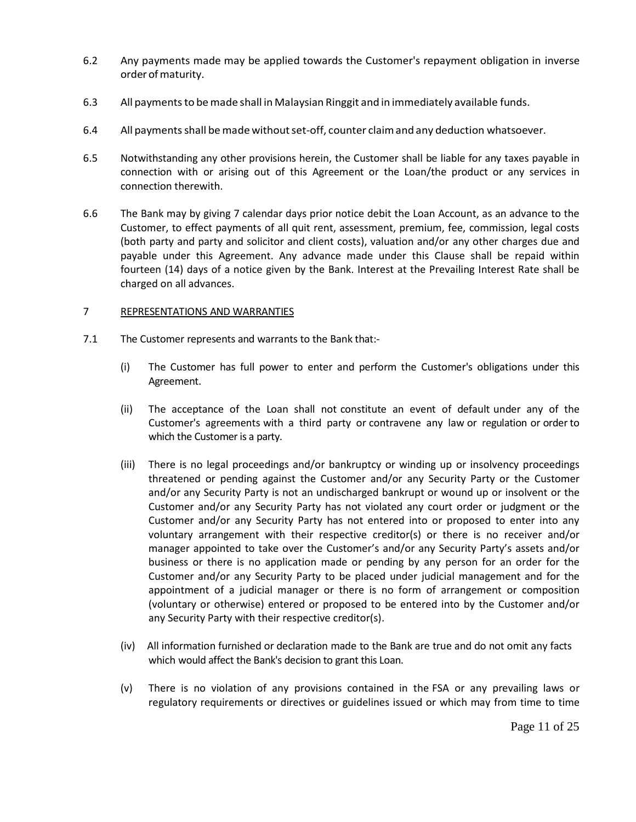- 6.2 Any payments made may be applied towards the Customer's repayment obligation in inverse order of maturity.
- 6.3 All paymentsto bemade shall in Malaysian Ringgit and in immediately available funds.
- 6.4 All payments shall be made without set-off, counter claim and any deduction whatsoever.
- 6.5 Notwithstanding any other provisions herein, the Customer shall be liable for any taxes payable in connection with or arising out of this Agreement or the Loan/the product or any services in connection therewith.
- 6.6 The Bank may by giving 7 calendar days prior notice debit the Loan Account, as an advance to the Customer, to effect payments of all quit rent, assessment, premium, fee, commission, legal costs (both party and party and solicitor and client costs), valuation and/or any other charges due and payable under this Agreement. Any advance made under this Clause shall be repaid within fourteen (14) days of a notice given by the Bank. Interest at the Prevailing Interest Rate shall be charged on all advances.

# 7 REPRESENTATIONS AND WARRANTIES

- 7.1 The Customer represents and warrants to the Bank that:-
	- (i) The Customer has full power to enter and perform the Customer's obligations under this Agreement.
	- (ii) The acceptance of the Loan shall not constitute an event of default under any of the Customer's agreements with a third party or contravene any law or regulation or orderto which the Customer is a party.
	- (iii) There is no legal proceedings and/or bankruptcy or winding up or insolvency proceedings threatened or pending against the Customer and/or any Security Party or the Customer and/or any Security Party is not an undischarged bankrupt or wound up or insolvent or the Customer and/or any Security Party has not violated any court order or judgment or the Customer and/or any Security Party has not entered into or proposed to enter into any voluntary arrangement with their respective creditor(s) or there is no receiver and/or manager appointed to take over the Customer's and/or any Security Party's assets and/or business or there is no application made or pending by any person for an order for the Customer and/or any Security Party to be placed under judicial management and for the appointment of a judicial manager or there is no form of arrangement or composition (voluntary or otherwise) entered or proposed to be entered into by the Customer and/or any Security Party with their respective creditor(s).
	- (iv) All information furnished or declaration made to the Bank are true and do not omit any facts which would affect the Bank's decision to grant this Loan.
	- (v) There is no violation of any provisions contained in the FSA or any prevailing laws or regulatory requirements or directives or guidelines issued or which may from time to time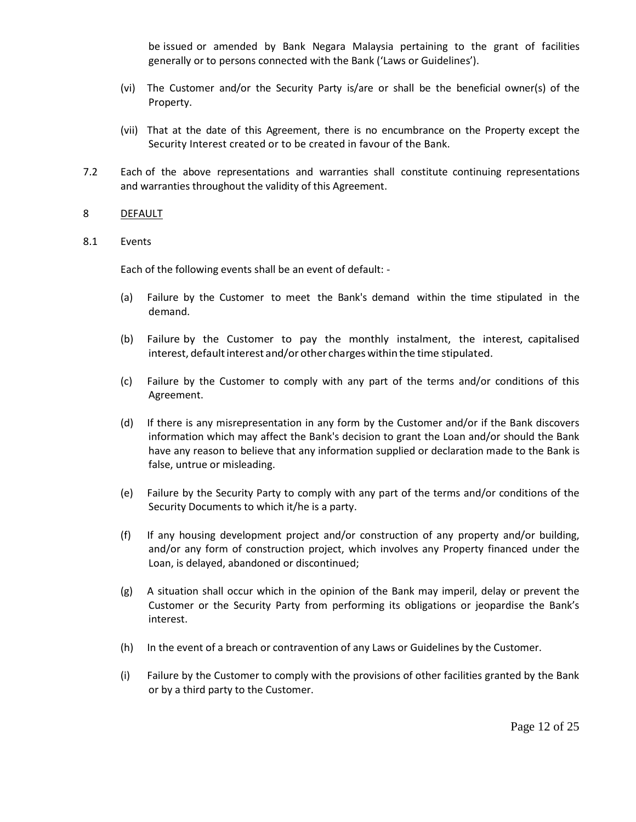be issued or amended by Bank Negara Malaysia pertaining to the grant of facilities generally or to persons connected with the Bank ('Laws or Guidelines').

- (vi) The Customer and/or the Security Party is/are or shall be the beneficial owner(s) of the Property.
- (vii) That at the date of this Agreement, there is no encumbrance on the Property except the Security Interest created or to be created in favour of the Bank.
- 7.2 Each of the above representations and warranties shall constitute continuing representations and warranties throughout the validity of this Agreement.

### 8 DEFAULT

### 8.1 Events

Each of the following events shall be an event of default: -

- (a) Failure by the Customer to meet the Bank's demand within the time stipulated in the demand.
- (b) Failure by the Customer to pay the monthly instalment, the interest, capitalised interest, default interest and/or other charges within the time stipulated.
- (c) Failure by the Customer to comply with any part of the terms and/or conditions of this Agreement.
- (d) If there is any misrepresentation in any form by the Customer and/or if the Bank discovers information which may affect the Bank's decision to grant the Loan and/or should the Bank have any reason to believe that any information supplied or declaration made to the Bank is false, untrue or misleading.
- (e) Failure by the Security Party to comply with any part of the terms and/or conditions of the Security Documents to which it/he is a party.
- (f) If any housing development project and/or construction of any property and/or building, and/or any form of construction project, which involves any Property financed under the Loan, is delayed, abandoned or discontinued;
- (g) A situation shall occur which in the opinion of the Bank may imperil, delay or prevent the Customer or the Security Party from performing its obligations or jeopardise the Bank's interest.
- (h) In the event of a breach or contravention of any Laws or Guidelines by the Customer.
- (i) Failure by the Customer to comply with the provisions of other facilities granted by the Bank or by a third party to the Customer.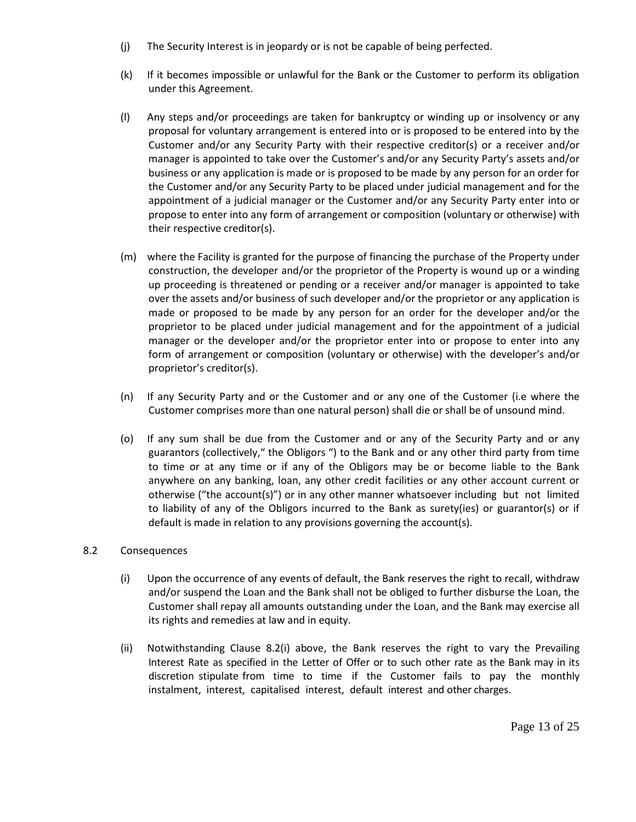- (j) The Security Interest is in jeopardy or is not be capable of being perfected.
- (k) If it becomes impossible or unlawful for the Bank or the Customer to perform its obligation under this Agreement.
- (l) Any steps and/or proceedings are taken for bankruptcy or winding up or insolvency or any proposal for voluntary arrangement is entered into or is proposed to be entered into by the Customer and/or any Security Party with their respective creditor(s) or a receiver and/or manager is appointed to take over the Customer's and/or any Security Party's assets and/or business or any application is made or is proposed to be made by any person for an order for the Customer and/or any Security Party to be placed under judicial management and for the appointment of a judicial manager or the Customer and/or any Security Party enter into or propose to enter into any form of arrangement or composition (voluntary or otherwise) with their respective creditor(s).
- (m) where the Facility is granted for the purpose of financing the purchase of the Property under construction, the developer and/or the proprietor of the Property is wound up or a winding up proceeding is threatened or pending or a receiver and/or manager is appointed to take over the assets and/or business of such developer and/or the proprietor or any application is made or proposed to be made by any person for an order for the developer and/or the proprietor to be placed under judicial management and for the appointment of a judicial manager or the developer and/or the proprietor enter into or propose to enter into any form of arrangement or composition (voluntary or otherwise) with the developer's and/or proprietor's creditor(s).
- (n) If any Security Party and or the Customer and or any one of the Customer (i.e where the Customer comprises more than one natural person) shall die or shall be of unsound mind.
- (o) If any sum shall be due from the Customer and or any of the Security Party and or any guarantors (collectively," the Obligors ") to the Bank and or any other third party from time to time or at any time or if any of the Obligors may be or become liable to the Bank anywhere on any banking, loan, any other credit facilities or any other account current or otherwise ("the account(s)") or in any other manner whatsoever including but not limited to liability of any of the Obligors incurred to the Bank as surety(ies) or guarantor(s) or if default is made in relation to any provisions governing the account(s).

# 8.2 Consequences

- (i) Upon the occurrence of any events of default, the Bank reserves the right to recall, withdraw and/or suspend the Loan and the Bank shall not be obliged to further disburse the Loan, the Customer shall repay all amounts outstanding under the Loan, and the Bank may exercise all its rights and remedies at law and in equity.
- (ii) Notwithstanding Clause 8.2(i) above, the Bank reserves the right to vary the Prevailing Interest Rate as specified in the Letter of Offer or to such other rate as the Bank may in its discretion stipulate from time to time if the Customer fails to pay the monthly instalment, interest, capitalised interest, default interest and other charges.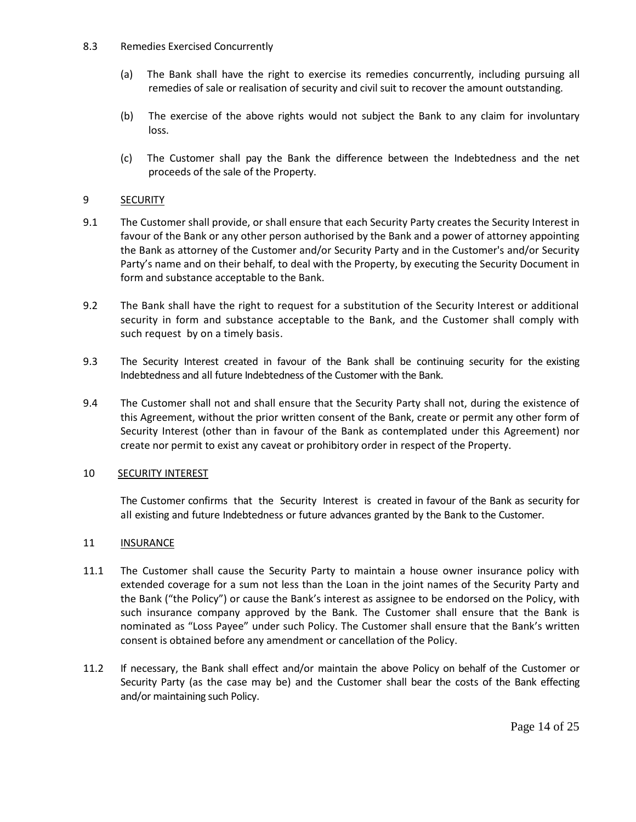# 8.3 Remedies Exercised Concurrently

- (a) The Bank shall have the right to exercise its remedies concurrently, including pursuing all remedies of sale or realisation of security and civil suit to recover the amount outstanding.
- (b) The exercise of the above rights would not subject the Bank to any claim for involuntary loss.
- (c) The Customer shall pay the Bank the difference between the Indebtedness and the net proceeds of the sale of the Property.

# 9 SECURITY

- 9.1 The Customer shall provide, or shall ensure that each Security Party creates the Security Interest in favour of the Bank or any other person authorised by the Bank and a power of attorney appointing the Bank as attorney of the Customer and/or Security Party and in the Customer's and/or Security Party's name and on their behalf, to deal with the Property, by executing the Security Document in form and substance acceptable to the Bank.
- 9.2 The Bank shall have the right to request for a substitution of the Security Interest or additional security in form and substance acceptable to the Bank, and the Customer shall comply with such request by on a timely basis.
- 9.3 The Security Interest created in favour of the Bank shall be continuing security for the existing Indebtedness and all future Indebtedness of the Customer with the Bank.
- 9.4 The Customer shall not and shall ensure that the Security Party shall not, during the existence of this Agreement, without the prior written consent of the Bank, create or permit any other form of Security Interest (other than in favour of the Bank as contemplated under this Agreement) nor create nor permit to exist any caveat or prohibitory order in respect of the Property.

# 10 SECURITY INTEREST

The Customer confirms that the Security Interest is created in favour of the Bank as security for all existing and future Indebtedness or future advances granted by the Bank to the Customer.

# 11 **INSURANCE**

- 11.1 The Customer shall cause the Security Party to maintain a house owner insurance policy with extended coverage for a sum not less than the Loan in the joint names of the Security Party and the Bank ("the Policy") or cause the Bank's interest as assignee to be endorsed on the Policy, with such insurance company approved by the Bank. The Customer shall ensure that the Bank is nominated as "Loss Payee" under such Policy. The Customer shall ensure that the Bank's written consent is obtained before any amendment or cancellation of the Policy.
- 11.2 If necessary, the Bank shall effect and/or maintain the above Policy on behalf of the Customer or Security Party (as the case may be) and the Customer shall bear the costs of the Bank effecting and/or maintaining such Policy.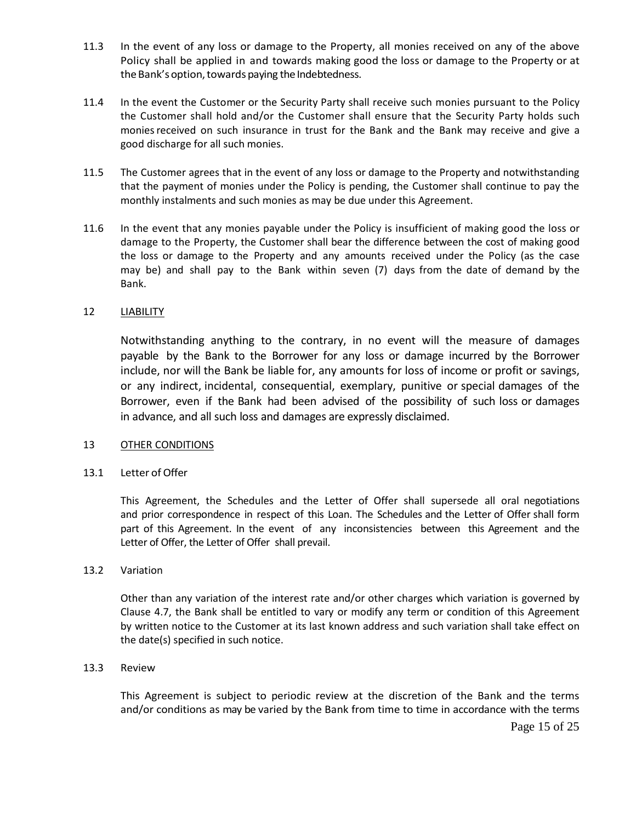- 11.3 In the event of any loss or damage to the Property, all monies received on any of the above Policy shall be applied in and towards making good the loss or damage to the Property or at the Bank's option, towards paying the Indebtedness.
- 11.4 In the event the Customer or the Security Party shall receive such monies pursuant to the Policy the Customer shall hold and/or the Customer shall ensure that the Security Party holds such monies received on such insurance in trust for the Bank and the Bank may receive and give a good discharge for all such monies.
- 11.5 The Customer agrees that in the event of any loss or damage to the Property and notwithstanding that the payment of monies under the Policy is pending, the Customer shall continue to pay the monthly instalments and such monies as may be due under this Agreement.
- 11.6 In the event that any monies payable under the Policy is insufficient of making good the loss or damage to the Property, the Customer shall bear the difference between the cost of making good the loss or damage to the Property and any amounts received under the Policy (as the case may be) and shall pay to the Bank within seven (7) days from the date of demand by the Bank.

# 12 LIABILITY

Notwithstanding anything to the contrary, in no event will the measure of damages payable by the Bank to the Borrower for any loss or damage incurred by the Borrower include, nor will the Bank be liable for, any amounts for loss of income or profit or savings, or any indirect, incidental, consequential, exemplary, punitive or special damages of the Borrower, even if the Bank had been advised of the possibility of such loss or damages in advance, and all such loss and damages are expressly disclaimed.

### 13 OTHER CONDITIONS

### 13.1 Letter of Offer

This Agreement, the Schedules and the Letter of Offer shall supersede all oral negotiations and prior correspondence in respect of this Loan. The Schedules and the Letter of Offer shall form part of this Agreement. In the event of any inconsistencies between this Agreement and the Letter of Offer, the Letter of Offer shall prevail.

### 13.2 Variation

Other than any variation of the interest rate and/or other charges which variation is governed by Clause 4.7, the Bank shall be entitled to vary or modify any term or condition of this Agreement by written notice to the Customer at its last known address and such variation shall take effect on the date(s) specified in such notice.

### 13.3 Review

This Agreement is subject to periodic review at the discretion of the Bank and the terms and/or conditions as may be varied by the Bank from time to time in accordance with the terms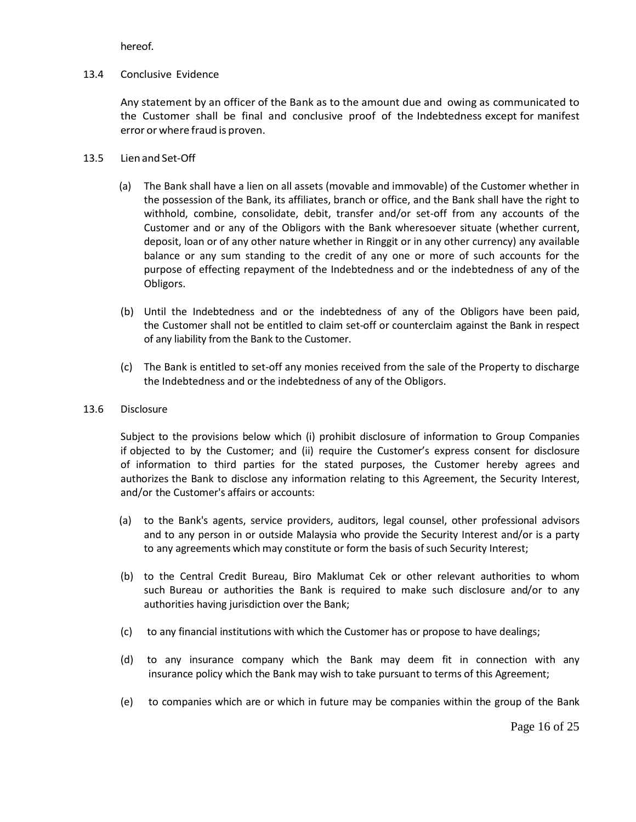hereof.

# 13.4 Conclusive Evidence

Any statement by an officer of the Bank as to the amount due and owing as communicated to the Customer shall be final and conclusive proof of the Indebtedness except for manifest error or where fraud is proven.

# 13.5 Lien and Set-Off

- (a) The Bank shall have a lien on all assets (movable and immovable) of the Customer whether in the possession of the Bank, its affiliates, branch or office, and the Bank shall have the right to withhold, combine, consolidate, debit, transfer and/or set-off from any accounts of the Customer and or any of the Obligors with the Bank wheresoever situate (whether current, deposit, loan or of any other nature whether in Ringgit or in any other currency) any available balance or any sum standing to the credit of any one or more of such accounts for the purpose of effecting repayment of the Indebtedness and or the indebtedness of any of the Obligors.
- (b) Until the Indebtedness and or the indebtedness of any of the Obligors have been paid, the Customer shall not be entitled to claim set-off or counterclaim against the Bank in respect of any liability from the Bank to the Customer.
- (c) The Bank is entitled to set-off any monies received from the sale of the Property to discharge the Indebtedness and or the indebtedness of any of the Obligors.
- 13.6 Disclosure

Subject to the provisions below which (i) prohibit disclosure of information to Group Companies if objected to by the Customer; and (ii) require the Customer's express consent for disclosure of information to third parties for the stated purposes, the Customer hereby agrees and authorizes the Bank to disclose any information relating to this Agreement, the Security Interest, and/or the Customer's affairs or accounts:

- (a) to the Bank's agents, service providers, auditors, legal counsel, other professional advisors and to any person in or outside Malaysia who provide the Security Interest and/or is a party to any agreements which may constitute or form the basis of such Security Interest;
- (b) to the Central Credit Bureau, Biro Maklumat Cek or other relevant authorities to whom such Bureau or authorities the Bank is required to make such disclosure and/or to any authorities having jurisdiction over the Bank;
- (c) to any financial institutions with which the Customer has or propose to have dealings;
- (d) to any insurance company which the Bank may deem fit in connection with any insurance policy which the Bank may wish to take pursuant to terms of this Agreement;
- (e) to companies which are or which in future may be companies within the group of the Bank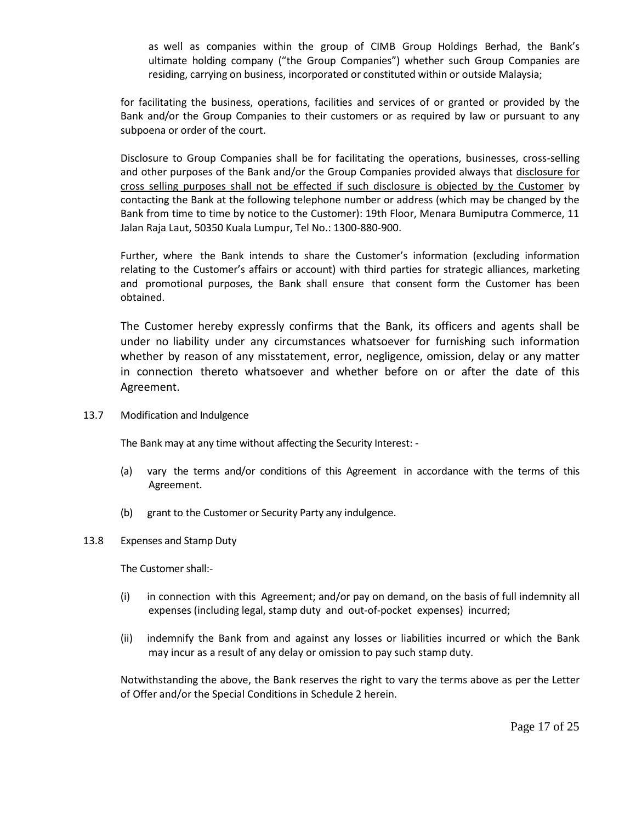as well as companies within the group of CIMB Group Holdings Berhad, the Bank's ultimate holding company ("the Group Companies") whether such Group Companies are residing, carrying on business, incorporated or constituted within or outside Malaysia;

for facilitating the business, operations, facilities and services of or granted or provided by the Bank and/or the Group Companies to their customers or as required by law or pursuant to any subpoena or order of the court.

Disclosure to Group Companies shall be for facilitating the operations, businesses, cross-selling and other purposes of the Bank and/or the Group Companies provided always that disclosure for cross selling purposes shall not be effected if such disclosure is objected by the Customer by contacting the Bank at the following telephone number or address (which may be changed by the Bank from time to time by notice to the Customer): 19th Floor, Menara Bumiputra Commerce, 11 Jalan Raja Laut, 50350 Kuala Lumpur, Tel No.: 1300-880-900.

Further, where the Bank intends to share the Customer's information (excluding information relating to the Customer's affairs or account) with third parties for strategic alliances, marketing and promotional purposes, the Bank shall ensure that consent form the Customer has been obtained.

The Customer hereby expressly confirms that the Bank, its officers and agents shall be under no liability under any circumstances whatsoever for furnishing such information whether by reason of any misstatement, error, negligence, omission, delay or any matter in connection thereto whatsoever and whether before on or after the date of this Agreement.

13.7 Modification and Indulgence

The Bank may at any time without affecting the Security Interest: -

- (a) vary the terms and/or conditions of this Agreement in accordance with the terms of this Agreement.
- (b) grant to the Customer or Security Party any indulgence.
- 13.8 Expenses and Stamp Duty

The Customer shall:-

- (i) in connection with this Agreement; and/or pay on demand, on the basis of full indemnity all expenses (including legal, stamp duty and out-of-pocket expenses) incurred;
- (ii) indemnify the Bank from and against any losses or liabilities incurred or which the Bank may incur as a result of any delay or omission to pay such stamp duty.

Notwithstanding the above, the Bank reserves the right to vary the terms above as per the Letter of Offer and/or the Special Conditions in Schedule 2 herein.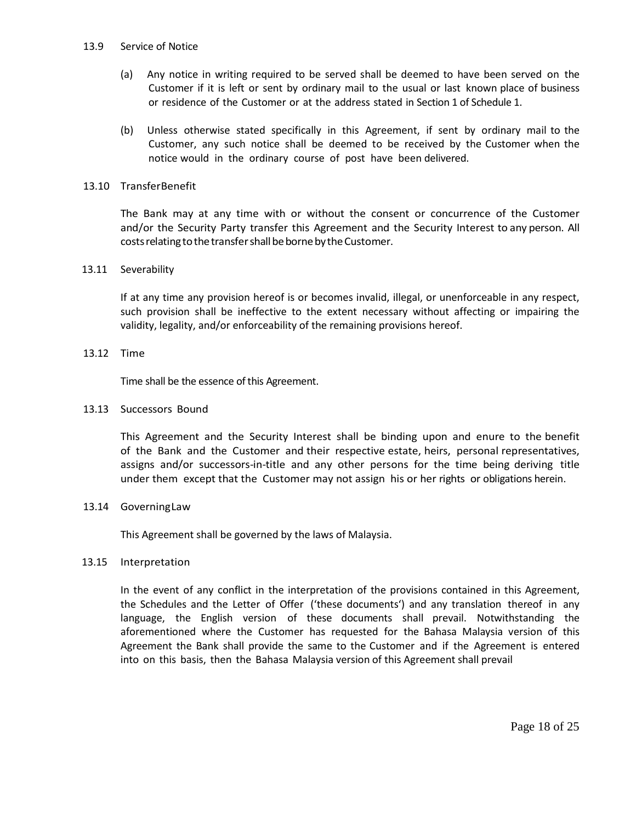#### 13.9 Service of Notice

- (a) Any notice in writing required to be served shall be deemed to have been served on the Customer if it is left or sent by ordinary mail to the usual or last known place of business or residence of the Customer or at the address stated in Section 1 of Schedule 1.
- (b) Unless otherwise stated specifically in this Agreement, if sent by ordinary mail to the Customer, any such notice shall be deemed to be received by the Customer when the notice would in the ordinary course of post have been delivered.

### 13.10 TransferBenefit

The Bank may at any time with or without the consent or concurrence of the Customer and/or the Security Party transfer this Agreement and the Security Interest to any person. All costs relating to the transfer shall be borne by the Customer.

# 13.11 Severability

If at any time any provision hereof is or becomes invalid, illegal, or unenforceable in any respect, such provision shall be ineffective to the extent necessary without affecting or impairing the validity, legality, and/or enforceability of the remaining provisions hereof.

# 13.12 Time

Time shall be the essence of this Agreement.

# 13.13 Successors Bound

This Agreement and the Security Interest shall be binding upon and enure to the benefit of the Bank and the Customer and their respective estate, heirs, personal representatives, assigns and/or successors-in-title and any other persons for the time being deriving title under them except that the Customer may not assign his or her rights or obligations herein.

### 13.14 GoverningLaw

This Agreement shall be governed by the laws of Malaysia.

### 13.15 Interpretation

In the event of any conflict in the interpretation of the provisions contained in this Agreement, the Schedules and the Letter of Offer ('these documents') and any translation thereof in any language, the English version of these documents shall prevail. Notwithstanding the aforementioned where the Customer has requested for the Bahasa Malaysia version of this Agreement the Bank shall provide the same to the Customer and if the Agreement is entered into on this basis, then the Bahasa Malaysia version of this Agreement shall prevail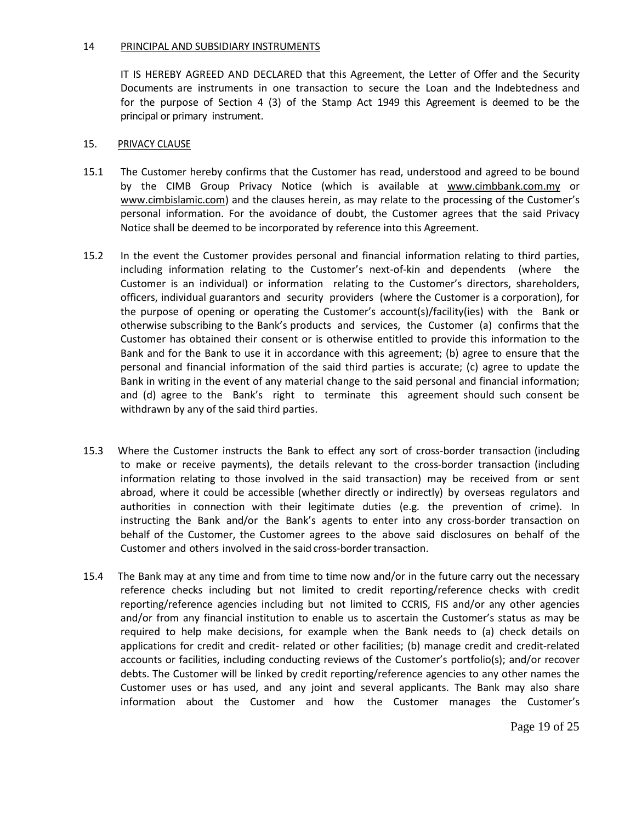### 14 PRINCIPAL AND SUBSIDIARY INSTRUMENTS

IT IS HEREBY AGREED AND DECLARED that this Agreement, the Letter of Offer and the Security Documents are instruments in one transaction to secure the Loan and the Indebtedness and for the purpose of Section 4 (3) of the Stamp Act 1949 this Agreement is deemed to be the principal or primary instrument.

#### 15. PRIVACY CLAUSE

- 15.1 The Customer hereby confirms that the Customer has read, understood and agreed to be bound by the CIMB Group Privacy Notice (which is available at www.cimbbank.com.my or www.cimbislamic.com) and the clauses herein, as may relate to the processing of the Customer's personal information. For the avoidance of doubt, the Customer agrees that the said Privacy Notice shall be deemed to be incorporated by reference into this Agreement.
- 15.2 In the event the Customer provides personal and financial information relating to third parties, including information relating to the Customer's next-of-kin and dependents (where the Customer is an individual) or information relating to the Customer's directors, shareholders, officers, individual guarantors and security providers (where the Customer is a corporation), for the purpose of opening or operating the Customer's account(s)/facility(ies) with the Bank or otherwise subscribing to the Bank's products and services, the Customer (a) confirms that the Customer has obtained their consent or is otherwise entitled to provide this information to the Bank and for the Bank to use it in accordance with this agreement; (b) agree to ensure that the personal and financial information of the said third parties is accurate; (c) agree to update the Bank in writing in the event of any material change to the said personal and financial information; and (d) agree to the Bank's right to terminate this agreement should such consent be withdrawn by any of the said third parties.
- 15.3 Where the Customer instructs the Bank to effect any sort of cross-border transaction (including to make or receive payments), the details relevant to the cross-border transaction (including information relating to those involved in the said transaction) may be received from or sent abroad, where it could be accessible (whether directly or indirectly) by overseas regulators and authorities in connection with their legitimate duties (e.g. the prevention of crime). In instructing the Bank and/or the Bank's agents to enter into any cross-border transaction on behalf of the Customer, the Customer agrees to the above said disclosures on behalf of the Customer and others involved in the said cross-border transaction.
- 15.4 The Bank may at any time and from time to time now and/or in the future carry out the necessary reference checks including but not limited to credit reporting/reference checks with credit reporting/reference agencies including but not limited to CCRIS, FIS and/or any other agencies and/or from any financial institution to enable us to ascertain the Customer's status as may be required to help make decisions, for example when the Bank needs to (a) check details on applications for credit and credit- related or other facilities; (b) manage credit and credit-related accounts or facilities, including conducting reviews of the Customer's portfolio(s); and/or recover debts. The Customer will be linked by credit reporting/reference agencies to any other names the Customer uses or has used, and any joint and several applicants. The Bank may also share information about the Customer and how the Customer manages the Customer's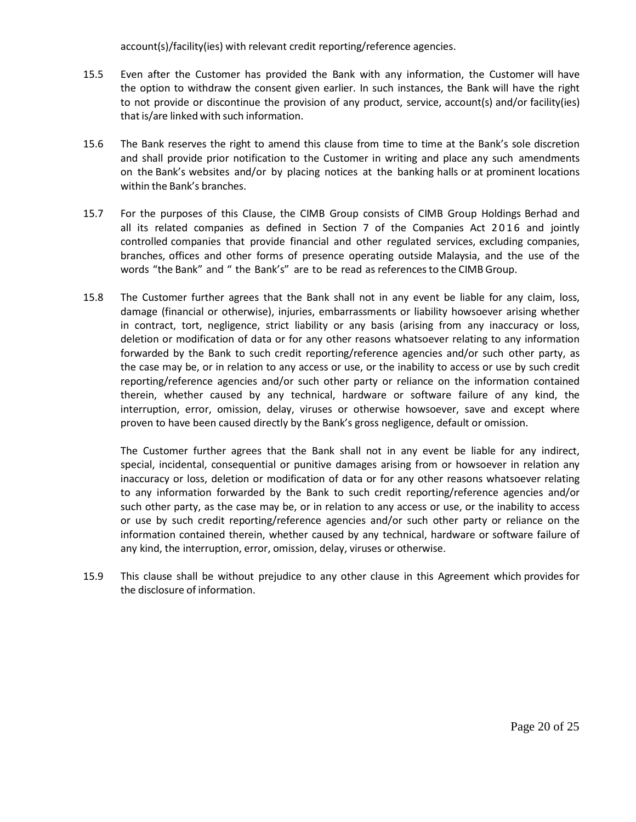account(s)/facility(ies) with relevant credit reporting/reference agencies.

- 15.5 Even after the Customer has provided the Bank with any information, the Customer will have the option to withdraw the consent given earlier. In such instances, the Bank will have the right to not provide or discontinue the provision of any product, service, account(s) and/or facility(ies) that is/are linked with such information.
- 15.6 The Bank reserves the right to amend this clause from time to time at the Bank's sole discretion and shall provide prior notification to the Customer in writing and place any such amendments on the Bank's websites and/or by placing notices at the banking halls or at prominent locations within the Bank's branches.
- 15.7 For the purposes of this Clause, the CIMB Group consists of CIMB Group Holdings Berhad and all its related companies as defined in Section 7 of the Companies Act 2016 and jointly controlled companies that provide financial and other regulated services, excluding companies, branches, offices and other forms of presence operating outside Malaysia, and the use of the words "the Bank" and " the Bank's" are to be read as referencesto the CIMB Group.
- 15.8 The Customer further agrees that the Bank shall not in any event be liable for any claim, loss, damage (financial or otherwise), injuries, embarrassments or liability howsoever arising whether in contract, tort, negligence, strict liability or any basis (arising from any inaccuracy or loss, deletion or modification of data or for any other reasons whatsoever relating to any information forwarded by the Bank to such credit reporting/reference agencies and/or such other party, as the case may be, or in relation to any access or use, or the inability to access or use by such credit reporting/reference agencies and/or such other party or reliance on the information contained therein, whether caused by any technical, hardware or software failure of any kind, the interruption, error, omission, delay, viruses or otherwise howsoever, save and except where proven to have been caused directly by the Bank's gross negligence, default or omission.

The Customer further agrees that the Bank shall not in any event be liable for any indirect, special, incidental, consequential or punitive damages arising from or howsoever in relation any inaccuracy or loss, deletion or modification of data or for any other reasons whatsoever relating to any information forwarded by the Bank to such credit reporting/reference agencies and/or such other party, as the case may be, or in relation to any access or use, or the inability to access or use by such credit reporting/reference agencies and/or such other party or reliance on the information contained therein, whether caused by any technical, hardware or software failure of any kind, the interruption, error, omission, delay, viruses or otherwise.

15.9 This clause shall be without prejudice to any other clause in this Agreement which provides for the disclosure of information.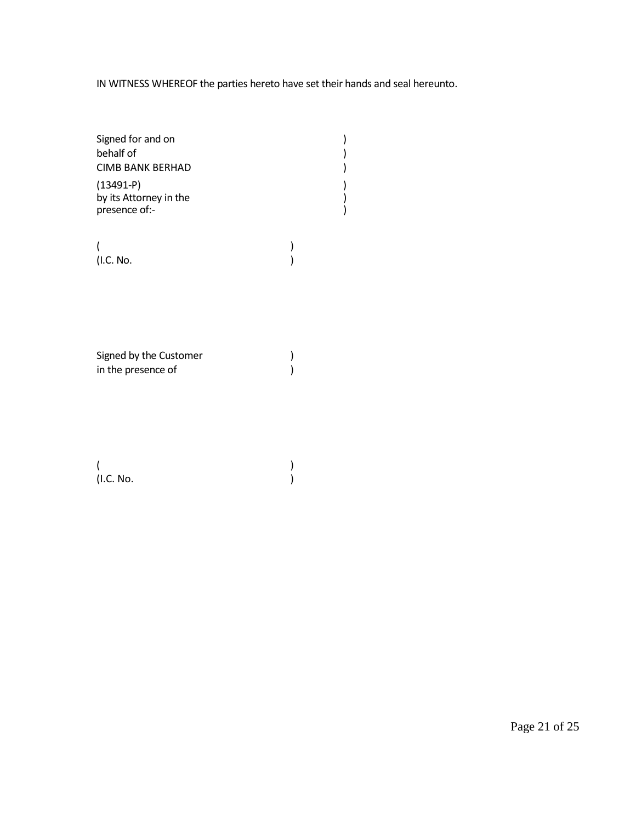IN WITNESS WHEREOF the parties hereto have set their hands and seal hereunto.

| Signed for and on<br>behalf of                         |  |
|--------------------------------------------------------|--|
| CIMB BANK BERHAD                                       |  |
| $(13491-P)$<br>by its Attorney in the<br>presence of:- |  |

(and  $\overline{\phantom{a}}$ ) (I.C. No. )

Signed by the Customer )<br>in the presence of ) in the presence of

(and  $\overline{\phantom{a}}$ ) (I.C. No. )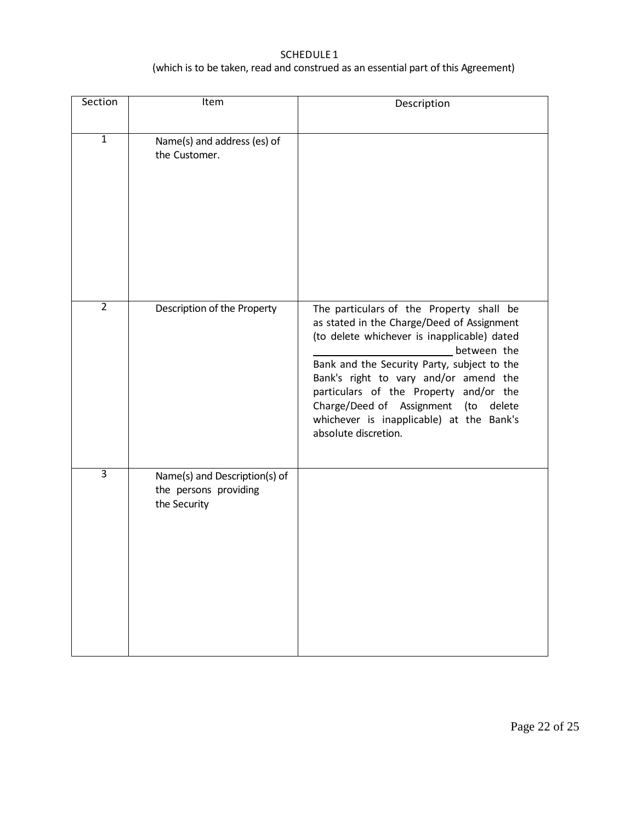# SCHEDULE 1 (which is to be taken, read and construed as an essential part of this Agreement)

| Section        | Item                                                                   | Description                                                                                                                                                                                                                                                                                                                                                                                              |
|----------------|------------------------------------------------------------------------|----------------------------------------------------------------------------------------------------------------------------------------------------------------------------------------------------------------------------------------------------------------------------------------------------------------------------------------------------------------------------------------------------------|
| $\mathbf{1}$   | Name(s) and address (es) of<br>the Customer.                           |                                                                                                                                                                                                                                                                                                                                                                                                          |
| $\overline{2}$ | Description of the Property                                            | The particulars of the Property shall be<br>as stated in the Charge/Deed of Assignment<br>(to delete whichever is inapplicable) dated<br>between the<br>Bank and the Security Party, subject to the<br>Bank's right to vary and/or amend the<br>particulars of the Property and/or the<br>Charge/Deed of Assignment<br>(to<br>delete<br>whichever is inapplicable) at the Bank's<br>absolute discretion. |
| $\overline{3}$ | Name(s) and Description(s) of<br>the persons providing<br>the Security |                                                                                                                                                                                                                                                                                                                                                                                                          |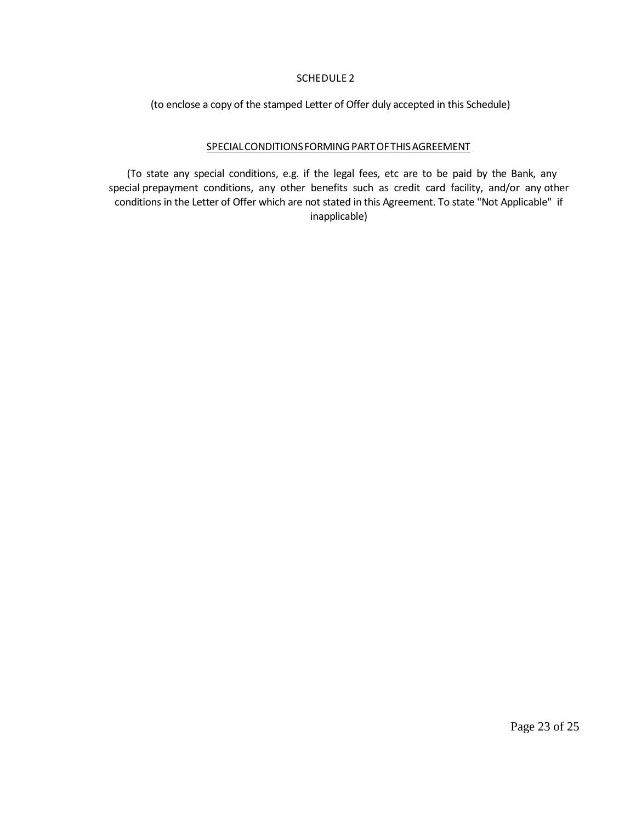# SCHEDULE 2

(to enclose a copy of the stamped Letter of Offer duly accepted in this Schedule)

# SPECIALCONDITIONSFORMINGPARTOFTHISAGREEMENT

(To state any special conditions, e.g. if the legal fees, etc are to be paid by the Bank, any special prepayment conditions, any other benefits such as credit card facility, and/or any other conditions in the Letter of Offer which are not stated in this Agreement. To state "Not Applicable" if inapplicable)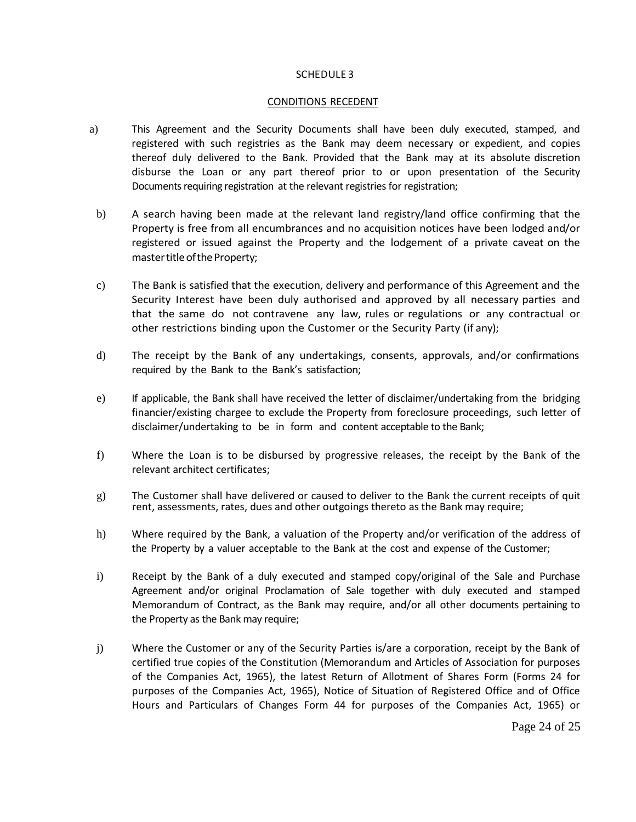### SCHEDULE 3

#### CONDITIONS RECEDENT

- a) This Agreement and the Security Documents shall have been duly executed, stamped, and registered with such registries as the Bank may deem necessary or expedient, and copies thereof duly delivered to the Bank. Provided that the Bank may at its absolute discretion disburse the Loan or any part thereof prior to or upon presentation of the Security Documents requiring registration at the relevant registries for registration;
- b) A search having been made at the relevant land registry/land office confirming that the Property is free from all encumbrances and no acquisition notices have been lodged and/or registered or issued against the Property and the lodgement of a private caveat on the master title of the Property;
- c) The Bank is satisfied that the execution, delivery and performance of this Agreement and the Security Interest have been duly authorised and approved by all necessary parties and that the same do not contravene any law, rules or regulations or any contractual or other restrictions binding upon the Customer or the Security Party (if any);
- d) The receipt by the Bank of any undertakings, consents, approvals, and/or confirmations required by the Bank to the Bank's satisfaction;
- e) If applicable, the Bank shall have received the letter of disclaimer/undertaking from the bridging financier/existing chargee to exclude the Property from foreclosure proceedings, such letter of disclaimer/undertaking to be in form and content acceptable to the Bank;
- f) Where the Loan is to be disbursed by progressive releases, the receipt by the Bank of the relevant architect certificates;
- g) The Customer shall have delivered or caused to deliver to the Bank the current receipts of quit rent, assessments, rates, dues and other outgoings thereto as the Bank may require;
- h) Where required by the Bank, a valuation of the Property and/or verification of the address of the Property by a valuer acceptable to the Bank at the cost and expense of the Customer;
- i) Receipt by the Bank of a duly executed and stamped copy/original of the Sale and Purchase Agreement and/or original Proclamation of Sale together with duly executed and stamped Memorandum of Contract, as the Bank may require, and/or all other documents pertaining to the Property as the Bank may require;
- j) Where the Customer or any of the Security Parties is/are a corporation, receipt by the Bank of certified true copies of the Constitution (Memorandum and Articles of Association for purposes of the Companies Act, 1965), the latest Return of Allotment of Shares Form (Forms 24 for purposes of the Companies Act, 1965), Notice of Situation of Registered Office and of Office Hours and Particulars of Changes Form 44 for purposes of the Companies Act, 1965) or

Page 24 of 25